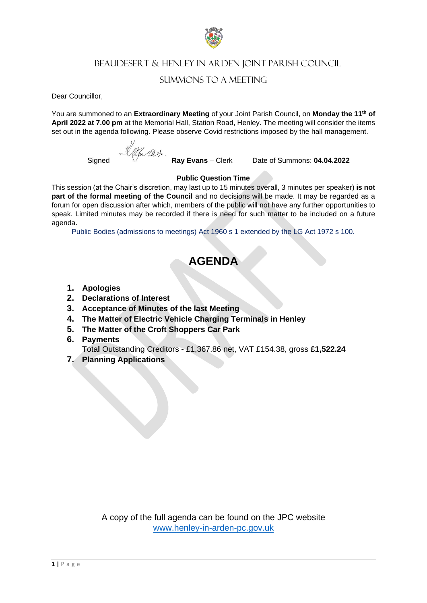

# BEAUDESERT & HENLEY IN ARDEN JOINT PARISH COUNCIL

## SUMMONS TO A MEETING

Dear Councillor,

You are summoned to an **Extraordinary Meeting** of your Joint Parish Council, on **Monday the 11th of April 2022 at 7.00 pm** at the Memorial Hall, Station Road, Henley. The meeting will consider the items set out in the agenda following. Please observe Covid restrictions imposed by the hall management.

am at.

Signed **Ray Evans** – Clerk Date of Summons: **04.04.2022**

### **Public Question Time**

This session (at the Chair's discretion, may last up to 15 minutes overall, 3 minutes per speaker) **is not part of the formal meeting of the Council** and no decisions will be made. It may be regarded as a forum for open discussion after which, members of the public will not have any further opportunities to speak. Limited minutes may be recorded if there is need for such matter to be included on a future agenda.

Public Bodies (admissions to meetings) Act 1960 s 1 extended by the LG Act 1972 s 100.

# **AGENDA**

- **1. Apologies**
- **2. Declarations of Interest**
- **3. Acceptance of Minutes of the last Meeting**
- **4. The Matter of Electric Vehicle Charging Terminals in Henley**
- **5. The Matter of the Croft Shoppers Car Park**
- **6. Payments**
- Tota**l** Outstanding Creditors £1,367.86 net, VAT £154.38, gross **£1,522.24**
- **7. Planning Applications**

A copy of the full agenda can be found on the JPC website [www.henley-in-arden-pc.gov.uk](http://www.henley-in-arden-pc.gov.uk/)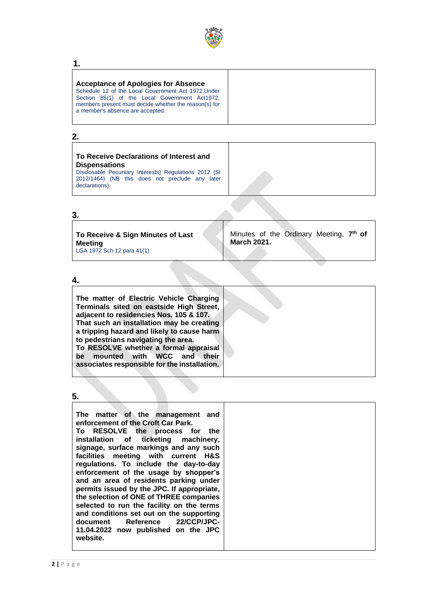

#### **1.**

#### **Acceptance of Apologies for Absence** Schedule 12 of the Local Government Act 1972.Under Section 85(1) of the Local Government Act1972,

members present must decide whether the reason(s) for a member's absence are accepted.

## **2.**

## **To Receive Declarations of Interest and Dispensations**

Disclosable Pecuniary Interests) Regulations 2012 (SI 2012/1464) (NB this does not preclude any later declarations).

### **3.**

**To Receive & Sign Minutes of Last Meeting** LGA 1972 Sch 12 para 41(1) Minutes of the Ordinary Meeting, **7 th of March 2021.**

### **4.**

**The matter of Electric Vehicle Charging Terminals sited on eastside High Street, adjacent to residencies Nos. 105 & 107. That such an installation may be creating a tripping hazard and likely to cause harm to pedestrians navigating the area. To RESOLVE whether a formal appraisal be mounted with WCC and their associates responsible for the installation.**

#### **5.**

| The matter of the management and                                                      |
|---------------------------------------------------------------------------------------|
| enforcement of the Croft Car Park.                                                    |
| To RESOLVE the process for the                                                        |
| installation of ticketing machinery,                                                  |
| signage, surface markings and any such                                                |
| facilities meeting with current H&S                                                   |
| regulations. To include the day-to-day                                                |
| enforcement of the usage by shopper's                                                 |
| and an area of residents parking under                                                |
| permits issued by the JPC. If appropriate,                                            |
| the selection of ONE of THREE companies                                               |
| selected to run the facility on the terms<br>and conditions set out on the supporting |
| document Reference 22/CCP/JPC-                                                        |
| 11.04.2022 now published on the JPC                                                   |
| website.                                                                              |
|                                                                                       |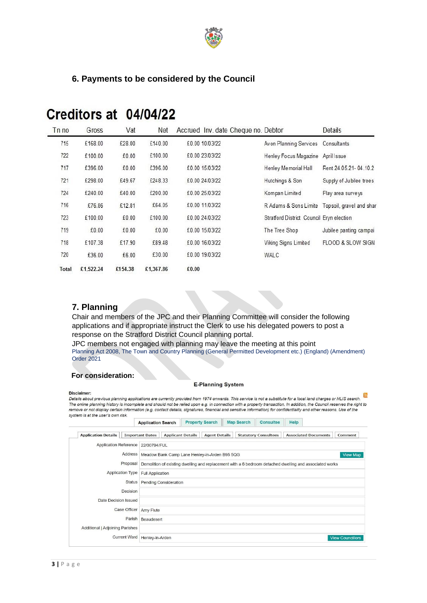

## **6. Payments to be considered by the Council**

| Tn no | Gross     | Vat     | Net       | Accrued Inv. date Cheque no. Debtor |                                                 | Details                 |
|-------|-----------|---------|-----------|-------------------------------------|-------------------------------------------------|-------------------------|
| 715   | £168.00   | £28.00  | £140.00   | £0.00 10/03/22                      | Avon Planning Services                          | Consultants             |
| 722   | £100.00   | £0.00   | £100.00   | £0.00 23/03/22                      | Henley Focus Magazine                           | April Issue             |
| 717   | £396.00   | £0.00   | £396.00   | £0.00 15/03/22                      | Henley Memorial Hall                            | Rent 24.05.21-04.10.2   |
| 721   | £298.00   | £49.67  | £248.33   | £0.00 24/03/22                      | Hutchings & Son                                 | Supply of Jubilee trees |
| 724   | £240.00   | £40.00  | £200.00   | £0.00 25/03/22                      | Kompan Limited                                  | Play area surveys       |
| 716   | £76.86    | £12.81  | £64.05    | £0.00 11/03/22                      | R Adams & Sons Limite Topsoil, gravel and share |                         |
| 723   | £100.00   | £0.00   | £100.00   | £0.00 24/03/22                      | Stratford District Council Bryn election        |                         |
| 719   | £0.00     | £0.00   | £0.00     | £0.00 15/03/22                      | The Tree Shop                                   | Jubilee panting campai  |
| 718   | £107.38   | £17.90  | £89.48    | £0.00 16/03/22                      | Viking Signs Limited                            | FLOOD & SLOW SIGN       |
| 720   | £36.00    | £6.00   | £30.00    | £0.00 19/03/22                      | WALC                                            |                         |
| Total | £1,522.24 | £154.38 | £1,367.86 | £0.00                               |                                                 |                         |

# Creditors at 04/04/22

## **7. Planning**

Chair and members of the JPC and their Planning Committee will consider the following applications and if appropriate instruct the Clerk to use his delegated powers to post a response on the Stratford District Council planning portal.

JPC members not engaged with planning may leave the meeting at this point Planning Act 2008, The Town and Country Planning (General Permitted Development etc.) (England) (Amendment) Order 2021

## **For consideration:**

#### **E-Planning System**

Disclaimer: **Disclaimer:**<br>Details about previous planning applications are currently provided from 1974 onwards. This service is not a substitute for a local land charges or NLIS search.  $\overline{\mathbb{S}}$ <br>The online planning bistory is inc The online planning history is incomplete and should not be relied upon e.g. in connection with a property transaction. In addition, the Council reserves the right to The online planning history is incomplete and should no remove or not display certain information (e.g. contact details, signatures, financial and sensitive information) for confidentiality and other reasons. Use of the system is at the user's own risk.

| <b>Application Details</b>                                                                                          | <b>Important Dates</b> |                                                       | <b>Applicant Details</b> | <b>Agent Details</b> |  | <b>Statutory Consultees</b> | <b>Associated Documents</b> | Comment                 |  |
|---------------------------------------------------------------------------------------------------------------------|------------------------|-------------------------------------------------------|--------------------------|----------------------|--|-----------------------------|-----------------------------|-------------------------|--|
| Application Reference 22/00794/FUL                                                                                  |                        |                                                       |                          |                      |  |                             |                             |                         |  |
|                                                                                                                     |                        | Address Meadow Bank Camp Lane Henley-in-Arden B95 5QG |                          |                      |  |                             |                             | <b>View Map</b>         |  |
| Proposal<br>Demolition of existing dwelling and replacement with a 6 bedroom detached dwelling and associated works |                        |                                                       |                          |                      |  |                             |                             |                         |  |
| <b>Application Type</b>                                                                                             |                        | <b>Full Application</b>                               |                          |                      |  |                             |                             |                         |  |
|                                                                                                                     | <b>Status</b>          | <b>Pending Consideration</b>                          |                          |                      |  |                             |                             |                         |  |
|                                                                                                                     | Decision               |                                                       |                          |                      |  |                             |                             |                         |  |
| Date Decision Issued                                                                                                |                        |                                                       |                          |                      |  |                             |                             |                         |  |
|                                                                                                                     | Case Officer Amy Flute |                                                       |                          |                      |  |                             |                             |                         |  |
|                                                                                                                     | Parish                 | Beaudesert                                            |                          |                      |  |                             |                             |                         |  |
| Additional   Adjoining Parishes                                                                                     |                        |                                                       |                          |                      |  |                             |                             |                         |  |
| <b>Current Ward</b>                                                                                                 |                        | Henley-in-Arden                                       |                          |                      |  |                             |                             | <b>View Councillors</b> |  |